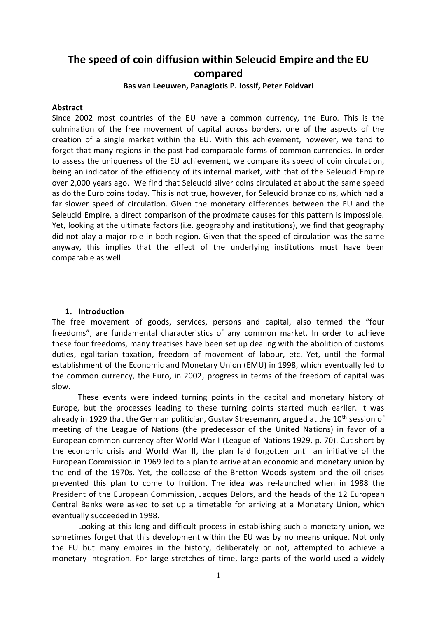# **The speed of coin diffusion within Seleucid Empire and the EU compared**

#### **Bas van Leeuwen, Panagiotis P. Iossif, Peter Foldvari**

#### **Abstract**

Since 2002 most countries of the EU have a common currency, the Euro. This is the culmination of the free movement of capital across borders, one of the aspects of the creation of a single market within the EU. With this achievement, however, we tend to forget that many regions in the past had comparable forms of common currencies. In order to assess the uniqueness of the EU achievement, we compare its speed of coin circulation, being an indicator of the efficiency of its internal market, with that of the Seleucid Empire over 2,000 years ago. We find that Seleucid silver coins circulated at about the same speed as do the Euro coins today. This is not true, however, for Seleucid bronze coins, which had a far slower speed of circulation. Given the monetary differences between the EU and the Seleucid Empire, a direct comparison of the proximate causes for this pattern is impossible. Yet, looking at the ultimate factors (i.e. geography and institutions), we find that geography did not play a major role in both region. Given that the speed of circulation was the same anyway, this implies that the effect of the underlying institutions must have been comparable as well.

#### **1. Introduction**

The free movement of goods, services, persons and capital, also termed the "four freedoms", are fundamental characteristics of any common market. In order to achieve these four freedoms, many treatises have been set up dealing with the abolition of customs duties, egalitarian taxation, freedom of movement of labour, etc. Yet, until the formal establishment of the Economic and Monetary Union (EMU) in 1998, which eventually led to the common currency, the Euro, in 2002, progress in terms of the freedom of capital was slow.

These events were indeed turning points in the capital and monetary history of Europe, but the processes leading to these turning points started much earlier. It was already in 1929 that the German politician, Gustav Stresemann, argued at the 10<sup>th</sup> session of meeting of the League of Nations (the predecessor of the United Nations) in favor of a European common currency after World War I (League of Nations 1929, p. 70). Cut short by the economic crisis and World War II, the plan laid forgotten until an initiative of the European Commission in 1969 led to a plan to arrive at an economic and monetary union by the end of the 1970s. Yet, the collapse of the Bretton Woods system and the oil crises prevented this plan to come to fruition. The idea was re-launched when in 1988 the President of the European Commission, Jacques Delors, and the heads of the 12 European Central Banks were asked to set up a timetable for arriving at a Monetary Union, which eventually succeeded in 1998.

Looking at this long and difficult process in establishing such a monetary union, we sometimes forget that this development within the EU was by no means unique. Not only the EU but many empires in the history, deliberately or not, attempted to achieve a monetary integration. For large stretches of time, large parts of the world used a widely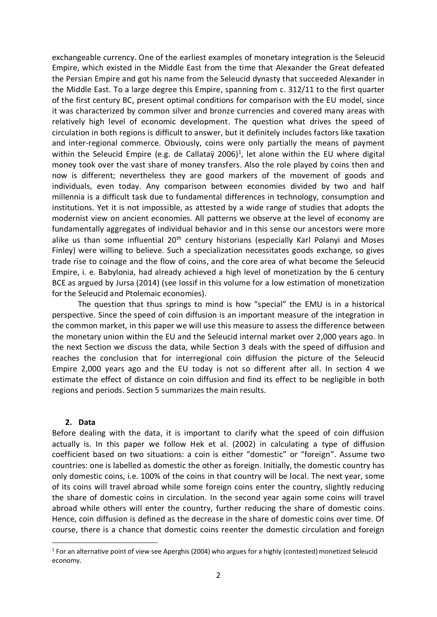exchangeable currency. One of the earliest examples of monetary integration is the Seleucid Empire, which existed in the Middle East from the time that Alexander the Great defeated the Persian Empire and got his name from the Seleucid dynasty that succeeded Alexander in the Middle East. To a large degree this Empire, spanning from c. 312/11 to the first quarter of the first century BC, present optimal conditions for comparison with the EU model, since it was characterized by common silver and bronze currencies and covered many areas with relatively high level of economic development. The question what drives the speed of circulation in both regions is difficult to answer, but it definitely includes factors like taxation and inter-regional commerce. Obviously, coins were only partially the means of payment within the Seleucid Empire (e.g. de Callataÿ 2006)<sup>1</sup>, let alone within the EU where digital money took over the vast share of money transfers. Also the role played by coins then and now is different; nevertheless they are good markers of the movement of goods and individuals, even today. Any comparison between economies divided by two and half millennia is a difficult task due to fundamental differences in technology, consumption and institutions. Yet it is not impossible, as attested by a wide range of studies that adopts the modernist view on ancient economies. All patterns we observe at the level of economy are fundamentally aggregates of individual behavior and in this sense our ancestors were more alike us than some influential  $20<sup>th</sup>$  century historians (especially Karl Polanyi and Moses Finley) were willing to believe. Such a specialization necessitates goods exchange, so gives trade rise to coinage and the flow of coins, and the core area of what become the Seleucid Empire, i. e. Babylonia, had already achieved a high level of monetization by the 6 century BCE as argued by Jursa (2014) (see Iossif in this volume for a low estimation of monetization for the Seleucid and Ptolemaic economies).

The question that thus springs to mind is how "special" the EMU is in a historical perspective. Since the speed of coin diffusion is an important measure of the integration in the common market, in this paper we will use this measure to assess the difference between the monetary union within the EU and the Seleucid internal market over 2,000 years ago. In the next Section we discuss the data, while Section 3 deals with the speed of diffusion and reaches the conclusion that for interregional coin diffusion the picture of the Seleucid Empire 2,000 years ago and the EU today is not so different after all. In section 4 we estimate the effect of distance on coin diffusion and find its effect to be negligible in both regions and periods. Section 5 summarizes the main results.

#### **2. Data**

Before dealing with the data, it is important to clarify what the speed of coin diffusion actually is. In this paper we follow Hek et al. (2002) in calculating a type of diffusion coefficient based on two situations: a coin is either "domestic" or "foreign". Assume two countries: one is labelled as domestic the other as foreign. Initially, the domestic country has only domestic coins, i.e. 100% of the coins in that country will be local. The next year, some of its coins will travel abroad while some foreign coins enter the country, slightly reducing the share of domestic coins in circulation. In the second year again some coins will travel abroad while others will enter the country, further reducing the share of domestic coins. Hence, coin diffusion is defined as the decrease in the share of domestic coins over time. Of course, there is a chance that domestic coins reenter the domestic circulation and foreign

 $\overline{a}$ <sup>1</sup> For an alternative point of view see Aperghis (2004) who argues for a highly (contested) monetized Seleucid economy.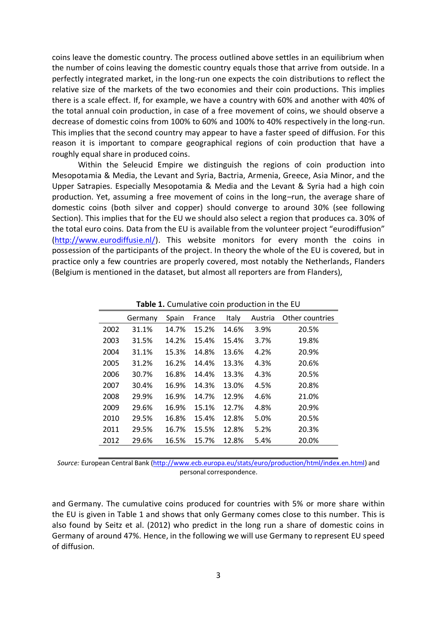coins leave the domestic country. The process outlined above settles in an equilibrium when the number of coins leaving the domestic country equals those that arrive from outside. In a perfectly integrated market, in the long-run one expects the coin distributions to reflect the relative size of the markets of the two economies and their coin productions. This implies there is a scale effect. If, for example, we have a country with 60% and another with 40% of the total annual coin production, in case of a free movement of coins, we should observe a decrease of domestic coins from 100% to 60% and 100% to 40% respectively in the long-run. This implies that the second country may appear to have a faster speed of diffusion. For this reason it is important to compare geographical regions of coin production that have a roughly equal share in produced coins.

Within the Seleucid Empire we distinguish the regions of coin production into Mesopotamia & Media, the Levant and Syria, Bactria, Armenia, Greece, Asia Minor, and the Upper Satrapies. Especially Mesopotamia & Media and the Levant & Syria had a high coin production. Yet, assuming a free movement of coins in the long–run, the average share of domestic coins (both silver and copper) should converge to around 30% (see following Section). This implies that for the EU we should also select a region that produces ca. 30% of the total euro coins. Data from the EU is available from the volunteer project "eurodiffusion" [\(http://www.eurodiffusie.nl/\)](http://www.eurodiffusie.nl/). This website monitors for every month the coins in possession of the participants of the project. In theory the whole of the EU is covered, but in practice only a few countries are properly covered, most notably the Netherlands, Flanders (Belgium is mentioned in the dataset, but almost all reporters are from Flanders),

|      | Germany | Spain | France | Italy | Austria | Other countries |
|------|---------|-------|--------|-------|---------|-----------------|
| 2002 | 31.1%   | 14.7% | 15.2%  | 14.6% | 3.9%    | 20.5%           |
| 2003 | 31.5%   | 14.2% | 15.4%  | 15.4% | 3.7%    | 19.8%           |
| 2004 | 31.1%   | 15.3% | 14.8%  | 13.6% | 4.2%    | 20.9%           |
| 2005 | 31.2%   | 16.2% | 14.4%  | 13.3% | 4.3%    | 20.6%           |
| 2006 | 30.7%   | 16.8% | 14.4%  | 13.3% | 4.3%    | 20.5%           |
| 2007 | 30.4%   | 16.9% | 14.3%  | 13.0% | 4.5%    | 20.8%           |
| 2008 | 29.9%   | 16.9% | 14.7%  | 12.9% | 4.6%    | 21.0%           |
| 2009 | 29.6%   | 16.9% | 15.1%  | 12.7% | 4.8%    | 20.9%           |
| 2010 | 29.5%   | 16.8% | 15.4%  | 12.8% | 5.0%    | 20.5%           |
| 2011 | 29.5%   | 16.7% | 15.5%  | 12.8% | 5.2%    | 20.3%           |
| 2012 | 29.6%   | 16.5% | 15.7%  | 12.8% | 5.4%    | 20.0%           |

**Table 1.** Cumulative coin production in the EU

*Source:* European Central Bank [\(http://www.ecb.europa.eu/stats/euro/production/html/index.en.html\)](http://www.ecb.europa.eu/stats/euro/production/html/index.en.html) and personal correspondence.

and Germany. The cumulative coins produced for countries with 5% or more share within the EU is given in Table 1 and shows that only Germany comes close to this number. This is also found by Seitz et al. (2012) who predict in the long run a share of domestic coins in Germany of around 47%. Hence, in the following we will use Germany to represent EU speed of diffusion.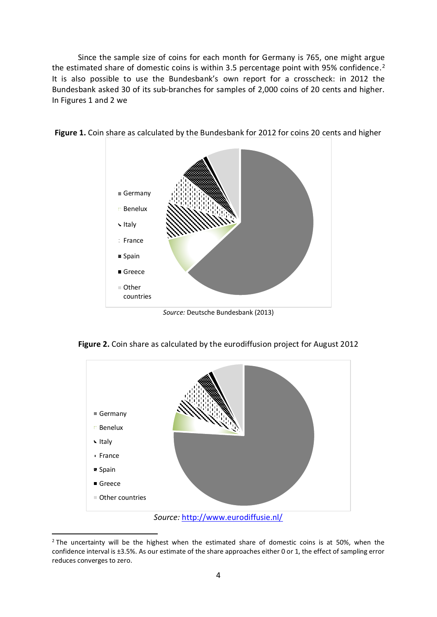Since the sample size of coins for each month for Germany is 765, one might argue the estimated share of domestic coins is within 3.5 percentage point with 95% confidence.<sup>2</sup> It is also possible to use the Bundesbank's own report for a crosscheck: in 2012 the Bundesbank asked 30 of its sub-branches for samples of 2,000 coins of 20 cents and higher. In Figures 1 and 2 we



**Figure 1.** Coin share as calculated by the Bundesbank for 2012 for coins 20 cents and higher

*Source:* Deutsche Bundesbank (2013)



**Figure 2.** Coin share as calculated by the eurodiffusion project for August 2012

 $\overline{a}$ 

 $2$  The uncertainty will be the highest when the estimated share of domestic coins is at 50%, when the confidence interval is ±3.5%. As our estimate of the share approaches either 0 or 1, the effect of sampling error reduces converges to zero.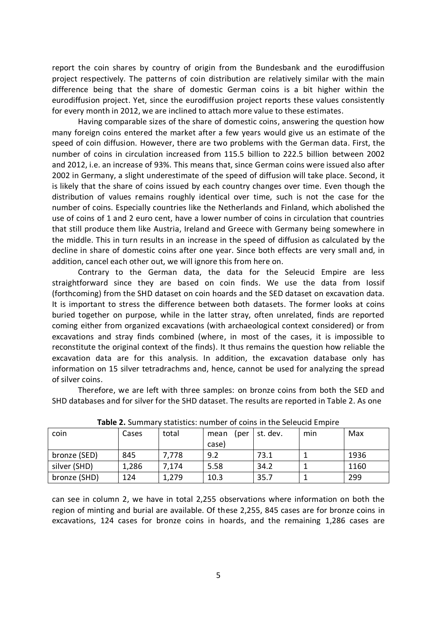report the coin shares by country of origin from the Bundesbank and the eurodiffusion project respectively. The patterns of coin distribution are relatively similar with the main difference being that the share of domestic German coins is a bit higher within the eurodiffusion project. Yet, since the eurodiffusion project reports these values consistently for every month in 2012, we are inclined to attach more value to these estimates.

Having comparable sizes of the share of domestic coins, answering the question how many foreign coins entered the market after a few years would give us an estimate of the speed of coin diffusion. However, there are two problems with the German data. First, the number of coins in circulation increased from 115.5 billion to 222.5 billion between 2002 and 2012, i.e. an increase of 93%. This means that, since German coins were issued also after 2002 in Germany, a slight underestimate of the speed of diffusion will take place. Second, it is likely that the share of coins issued by each country changes over time. Even though the distribution of values remains roughly identical over time, such is not the case for the number of coins. Especially countries like the Netherlands and Finland, which abolished the use of coins of 1 and 2 euro cent, have a lower number of coins in circulation that countries that still produce them like Austria, Ireland and Greece with Germany being somewhere in the middle. This in turn results in an increase in the speed of diffusion as calculated by the decline in share of domestic coins after one year. Since both effects are very small and, in addition, cancel each other out, we will ignore this from here on.

Contrary to the German data, the data for the Seleucid Empire are less straightforward since they are based on coin finds. We use the data from Iossif (forthcoming) from the SHD dataset on coin hoards and the SED dataset on excavation data. It is important to stress the difference between both datasets. The former looks at coins buried together on purpose, while in the latter stray, often unrelated, finds are reported coming either from organized excavations (with archaeological context considered) or from excavations and stray finds combined (where, in most of the cases, it is impossible to reconstitute the original context of the finds). It thus remains the question how reliable the excavation data are for this analysis. In addition, the excavation database only has information on 15 silver tetradrachms and, hence, cannot be used for analyzing the spread of silver coins.

Therefore, we are left with three samples: on bronze coins from both the SED and SHD databases and for silver for the SHD dataset. The results are reported in Table 2. As one

| coin         | Cases | total | (per<br>mean<br>case) | st. dev. | min | Max  |
|--------------|-------|-------|-----------------------|----------|-----|------|
| bronze (SED) | 845   | 7,778 | 9.2                   | 73.1     |     | 1936 |
| silver (SHD) | 1,286 | 7,174 | 5.58                  | 34.2     |     | 1160 |
| bronze (SHD) | 124   | 1,279 | 10.3                  | 35.7     |     | 299  |

**Table 2.** Summary statistics: number of coins in the Seleucid Empire

can see in column 2, we have in total 2,255 observations where information on both the region of minting and burial are available. Of these 2,255, 845 cases are for bronze coins in excavations, 124 cases for bronze coins in hoards, and the remaining 1,286 cases are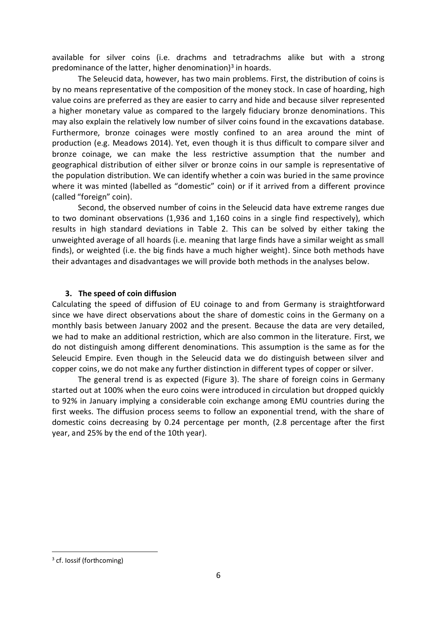available for silver coins (i.e. drachms and tetradrachms alike but with a strong predominance of the latter, higher denomination) 3 in hoards.

The Seleucid data, however, has two main problems. First, the distribution of coins is by no means representative of the composition of the money stock. In case of hoarding, high value coins are preferred as they are easier to carry and hide and because silver represented a higher monetary value as compared to the largely fiduciary bronze denominations. This may also explain the relatively low number of silver coins found in the excavations database. Furthermore, bronze coinages were mostly confined to an area around the mint of production (e.g. Meadows 2014). Yet, even though it is thus difficult to compare silver and bronze coinage, we can make the less restrictive assumption that the number and geographical distribution of either silver or bronze coins in our sample is representative of the population distribution. We can identify whether a coin was buried in the same province where it was minted (labelled as "domestic" coin) or if it arrived from a different province (called "foreign" coin).

Second, the observed number of coins in the Seleucid data have extreme ranges due to two dominant observations (1,936 and 1,160 coins in a single find respectively), which results in high standard deviations in Table 2. This can be solved by either taking the unweighted average of all hoards (i.e. meaning that large finds have a similar weight as small finds), or weighted (i.e. the big finds have a much higher weight). Since both methods have their advantages and disadvantages we will provide both methods in the analyses below.

## **3. The speed of coin diffusion**

Calculating the speed of diffusion of EU coinage to and from Germany is straightforward since we have direct observations about the share of domestic coins in the Germany on a monthly basis between January 2002 and the present. Because the data are very detailed, we had to make an additional restriction, which are also common in the literature. First, we do not distinguish among different denominations. This assumption is the same as for the Seleucid Empire. Even though in the Seleucid data we do distinguish between silver and copper coins, we do not make any further distinction in different types of copper or silver.

The general trend is as expected (Figure 3). The share of foreign coins in Germany started out at 100% when the euro coins were introduced in circulation but dropped quickly to 92% in January implying a considerable coin exchange among EMU countries during the first weeks. The diffusion process seems to follow an exponential trend, with the share of domestic coins decreasing by 0.24 percentage per month, (2.8 percentage after the first year, and 25% by the end of the 10th year).

 $\overline{a}$ 

<sup>&</sup>lt;sup>3</sup> cf. Iossif (forthcoming)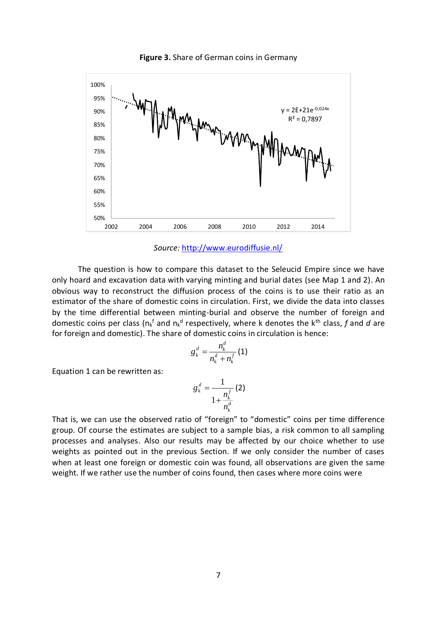

**Figure 3.** Share of German coins in Germany

*Source:* <http://www.eurodiffusie.nl/>

The question is how to compare this dataset to the Seleucid Empire since we have only hoard and excavation data with varying minting and burial dates (see Map 1 and 2). An obvious way to reconstruct the diffusion process of the coins is to use their ratio as an estimator of the share of domestic coins in circulation. First, we divide the data into classes by the time differential between minting-burial and observe the number of foreign and domestic coins per class (n<sub>k</sub>f and n<sub>k</sub><sup>d</sup> respectively, where k denotes the k<sup>th</sup> class, f and d are for foreign and domestic). The share of domestic coins in circulation is hence:

$$
g_k^d = \frac{n_k^d}{n_k^d + n_k^f} (1)
$$

Equation 1 can be rewritten as:

$$
g_k^d = \frac{1}{1 + \frac{n_k^f}{n_k^d}}(2)
$$

That is, we can use the observed ratio of "foreign" to "domestic" coins per time difference group. Of course the estimates are subject to a sample bias, a risk common to all sampling processes and analyses. Also our results may be affected by our choice whether to use weights as pointed out in the previous Section. If we only consider the number of cases when at least one foreign or domestic coin was found, all observations are given the same weight. If we rather use the number of coins found, then cases where more coins were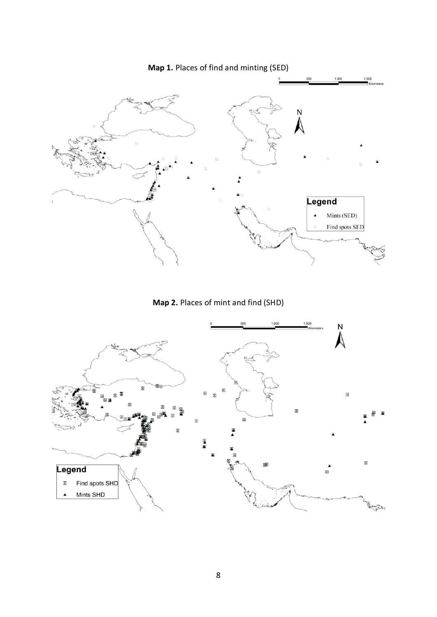

**Map 2.** Places of mint and find (SHD)

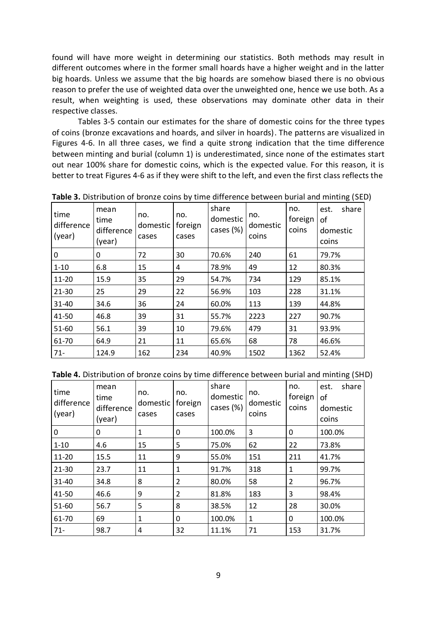found will have more weight in determining our statistics. Both methods may result in different outcomes where in the former small hoards have a higher weight and in the latter big hoards. Unless we assume that the big hoards are somehow biased there is no obvious reason to prefer the use of weighted data over the unweighted one, hence we use both. As a result, when weighting is used, these observations may dominate other data in their respective classes.

Tables 3-5 contain our estimates for the share of domestic coins for the three types of coins (bronze excavations and hoards, and silver in hoards). The patterns are visualized in Figures 4-6. In all three cases, we find a quite strong indication that the time difference between minting and burial (column 1) is underestimated, since none of the estimates start out near 100% share for domestic coins, which is the expected value. For this reason, it is better to treat Figures 4-6 as if they were shift to the left, and even the first class reflects the

| time<br>difference<br>(year) | mean<br>time<br>difference<br>(year) | no.<br>domestic<br>cases | no.<br>foreign<br>cases | share<br>domestic<br>cases (%) | no.<br>domestic<br>coins | no.<br>foreign<br>coins | share<br>est.<br>οf<br>domestic<br>coins |
|------------------------------|--------------------------------------|--------------------------|-------------------------|--------------------------------|--------------------------|-------------------------|------------------------------------------|
| 0                            | 0                                    | 72                       | 30                      | 70.6%                          | 240                      | 61                      | 79.7%                                    |
| $1 - 10$                     | 6.8                                  | 15                       | 4                       | 78.9%                          | 49                       | 12                      | 80.3%                                    |
| 11-20                        | 15.9                                 | 35                       | 29                      | 54.7%                          | 734                      | 129                     | 85.1%                                    |
| 21-30                        | 25                                   | 29                       | 22                      | 56.9%                          | 103                      | 228                     | 31.1%                                    |
| 31-40                        | 34.6                                 | 36                       | 24                      | 60.0%                          | 113                      | 139                     | 44.8%                                    |
| 41-50                        | 46.8                                 | 39                       | 31                      | 55.7%                          | 2223                     | 227                     | 90.7%                                    |
| 51-60                        | 56.1                                 | 39                       | 10                      | 79.6%                          | 479                      | 31                      | 93.9%                                    |
| 61-70                        | 64.9                                 | 21                       | 11                      | 65.6%                          | 68                       | 78                      | 46.6%                                    |
| $71 -$                       | 124.9                                | 162                      | 234                     | 40.9%                          | 1502                     | 1362                    | 52.4%                                    |

**Table 3.** Distribution of bronze coins by time difference between burial and minting (SED)

|  | Table 4. Distribution of bronze coins by time difference between burial and minting (SHD) |  |
|--|-------------------------------------------------------------------------------------------|--|
|--|-------------------------------------------------------------------------------------------|--|

| time<br>difference<br>(year) | mean<br>time<br>difference<br>(year) | no.<br>domestic<br>cases | no.<br>foreign<br>cases | share<br>domestic<br>cases (%) | no.<br>domestic<br>coins | no.<br>foreign<br>coins | share<br>est.<br>οf<br>domestic<br>coins |
|------------------------------|--------------------------------------|--------------------------|-------------------------|--------------------------------|--------------------------|-------------------------|------------------------------------------|
| 0                            | 0                                    | 1                        | 0                       | 100.0%                         | 3                        | $\Omega$                | 100.0%                                   |
| $1 - 10$                     | 4.6                                  | 15                       | 5                       | 75.0%                          | 62                       | 22                      | 73.8%                                    |
| 11-20                        | 15.5                                 | 11                       | 9                       | 55.0%                          | 151                      | 211                     | 41.7%                                    |
| 21-30                        | 23.7                                 | 11                       | 1                       | 91.7%                          | 318                      | $\mathbf{1}$            | 99.7%                                    |
| 31-40                        | 34.8                                 | 8                        | $\overline{2}$          | 80.0%                          | 58                       | $\overline{2}$          | 96.7%                                    |
| 41-50                        | 46.6                                 | 9                        | $\overline{2}$          | 81.8%                          | 183                      | 3                       | 98.4%                                    |
| 51-60                        | 56.7                                 | 5                        | 8                       | 38.5%                          | 12                       | 28                      | 30.0%                                    |
| 61-70                        | 69                                   | 1                        | 0                       | 100.0%                         | 1                        | 0                       | 100.0%                                   |
| $71 -$                       | 98.7                                 | 4                        | 32                      | 11.1%                          | 71                       | 153                     | 31.7%                                    |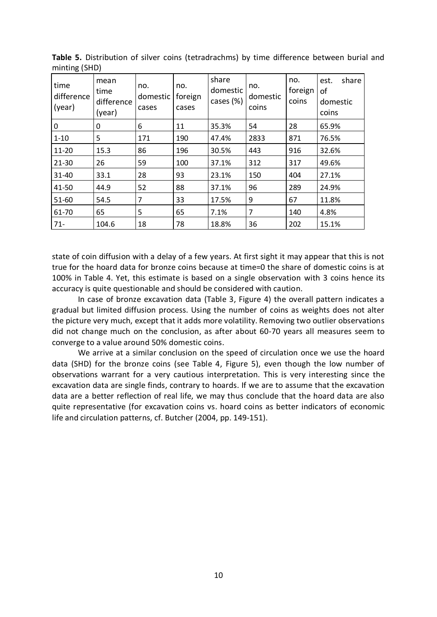| ັັ<br>time<br>difference<br>(year) | mean<br>time<br>difference<br>(year) | no.<br>domestic<br>cases | no.<br>foreign<br>cases | share<br>domestic<br>cases (%) | no.<br>domestic<br>coins | no.<br>foreign<br>coins | share<br>est.<br>οf<br>domestic<br>coins |
|------------------------------------|--------------------------------------|--------------------------|-------------------------|--------------------------------|--------------------------|-------------------------|------------------------------------------|
| 0                                  | 0                                    | 6                        | 11                      | 35.3%                          | 54                       | 28                      | 65.9%                                    |
| $1 - 10$                           | 5                                    | 171                      | 190                     | 47.4%                          | 2833                     | 871                     | 76.5%                                    |
| 11-20                              | 15.3                                 | 86                       | 196                     | 30.5%                          | 443                      | 916                     | 32.6%                                    |
| 21-30                              | 26                                   | 59                       | 100                     | 37.1%                          | 312                      | 317                     | 49.6%                                    |
| 31-40                              | 33.1                                 | 28                       | 93                      | 23.1%                          | 150                      | 404                     | 27.1%                                    |
| 41-50                              | 44.9                                 | 52                       | 88                      | 37.1%                          | 96                       | 289                     | 24.9%                                    |
| 51-60                              | 54.5                                 | 7                        | 33                      | 17.5%                          | 9                        | 67                      | 11.8%                                    |
| 61-70                              | 65                                   | 5                        | 65                      | 7.1%                           | $\overline{7}$           | 140                     | 4.8%                                     |
| $71 -$                             | 104.6                                | 18                       | 78                      | 18.8%                          | 36                       | 202                     | 15.1%                                    |

**Table 5.** Distribution of silver coins (tetradrachms) by time difference between burial and minting (SHD)

state of coin diffusion with a delay of a few years. At first sight it may appear that this is not true for the hoard data for bronze coins because at time=0 the share of domestic coins is at 100% in Table 4. Yet, this estimate is based on a single observation with 3 coins hence its accuracy is quite questionable and should be considered with caution.

In case of bronze excavation data (Table 3, Figure 4) the overall pattern indicates a gradual but limited diffusion process. Using the number of coins as weights does not alter the picture very much, except that it adds more volatility. Removing two outlier observations did not change much on the conclusion, as after about 60-70 years all measures seem to converge to a value around 50% domestic coins.

We arrive at a similar conclusion on the speed of circulation once we use the hoard data (SHD) for the bronze coins (see Table 4, Figure 5), even though the low number of observations warrant for a very cautious interpretation. This is very interesting since the excavation data are single finds, contrary to hoards. If we are to assume that the excavation data are a better reflection of real life, we may thus conclude that the hoard data are also quite representative (for excavation coins vs. hoard coins as better indicators of economic life and circulation patterns, cf. Butcher (2004, pp. 149-151).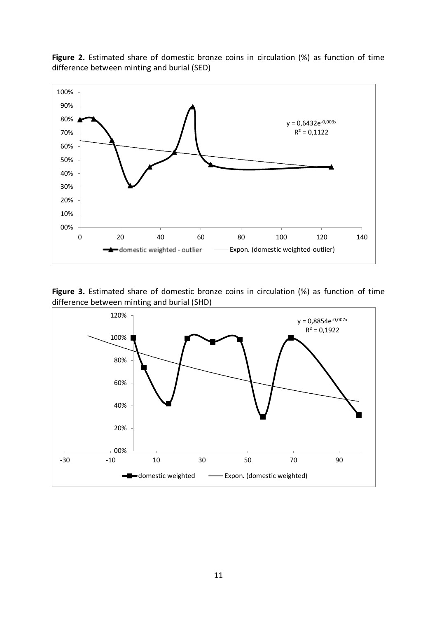



**Figure 3.** Estimated share of domestic bronze coins in circulation (%) as function of time difference between minting and burial (SHD)

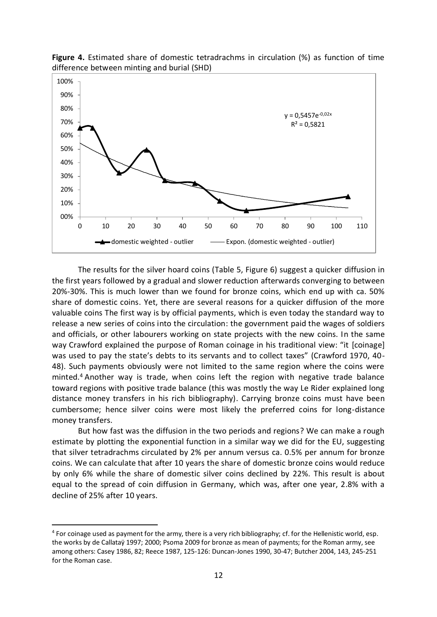

**Figure 4.** Estimated share of domestic tetradrachms in circulation (%) as function of time difference between minting and burial (SHD)

The results for the silver hoard coins (Table 5, Figure 6) suggest a quicker diffusion in the first years followed by a gradual and slower reduction afterwards converging to between 20%-30%. This is much lower than we found for bronze coins, which end up with ca. 50% share of domestic coins. Yet, there are several reasons for a quicker diffusion of the more valuable coins The first way is by official payments, which is even today the standard way to release a new series of coins into the circulation: the government paid the wages of soldiers and officials, or other labourers working on state projects with the new coins. In the same way Crawford explained the purpose of Roman coinage in his traditional view: "it [coinage] was used to pay the state's debts to its servants and to collect taxes" (Crawford 1970, 40- 48). Such payments obviously were not limited to the same region where the coins were minted. <sup>4</sup> Another way is trade, when coins left the region with negative trade balance toward regions with positive trade balance (this was mostly the way Le Rider explained long distance money transfers in his rich bibliography). Carrying bronze coins must have been cumbersome; hence silver coins were most likely the preferred coins for long-distance money transfers.

But how fast was the diffusion in the two periods and regions? We can make a rough estimate by plotting the exponential function in a similar way we did for the EU, suggesting that silver tetradrachms circulated by 2% per annum versus ca. 0.5% per annum for bronze coins. We can calculate that after 10 years the share of domestic bronze coins would reduce by only 6% while the share of domestic silver coins declined by 22%. This result is about equal to the spread of coin diffusion in Germany, which was, after one year, 2.8% with a decline of 25% after 10 years.

 $\overline{a}$ 

<sup>&</sup>lt;sup>4</sup> For coinage used as payment for the army, there is a very rich bibliography; cf. for the Hellenistic world, esp. the works by de Callataÿ 1997; 2000; Psoma 2009 for bronze as mean of payments; for the Roman army, see among others: Casey 1986, 82; Reece 1987, 125-126: Duncan-Jones 1990, 30-47; Butcher 2004, 143, 245-251 for the Roman case.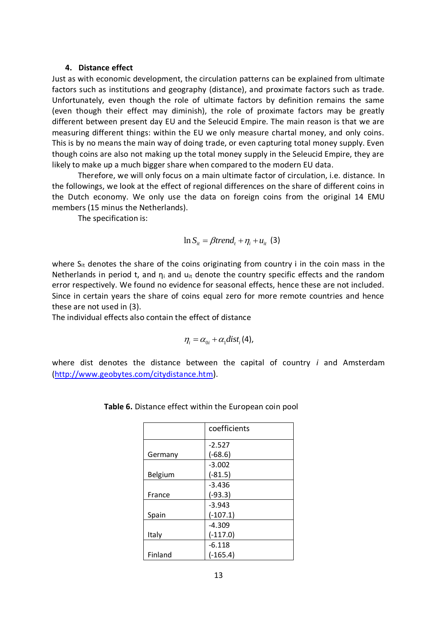#### **4. Distance effect**

Just as with economic development, the circulation patterns can be explained from ultimate factors such as institutions and geography (distance), and proximate factors such as trade. Unfortunately, even though the role of ultimate factors by definition remains the same (even though their effect may diminish), the role of proximate factors may be greatly different between present day EU and the Seleucid Empire. The main reason is that we are measuring different things: within the EU we only measure chartal money, and only coins. This is by no means the main way of doing trade, or even capturing total money supply. Even though coins are also not making up the total money supply in the Seleucid Empire, they are likely to make up a much bigger share when compared to the modern EU data.

Therefore, we will only focus on a main ultimate factor of circulation, i.e. distance. In the followings, we look at the effect of regional differences on the share of different coins in the Dutch economy. We only use the data on foreign coins from the original 14 EMU members (15 minus the Netherlands).

The specification is:

$$
\ln S_{it} = \beta trend_t + \eta_i + u_{it} \text{ (3)}
$$

where  $S_{it}$  denotes the share of the coins originating from country i in the coin mass in the Netherlands in period t, and  $\eta_i$  and  $u_{it}$  denote the country specific effects and the random error respectively. We found no evidence for seasonal effects, hence these are not included. Since in certain years the share of coins equal zero for more remote countries and hence these are not used in (3).

The individual effects also contain the effect of distance

$$
\eta_i = \alpha_{0i} + \alpha_1 dist_i(4),
$$

where dist denotes the distance between the capital of country *i* and Amsterdam [\(http://www.geobytes.com/citydistance.htm](http://www.geobytes.com/citydistance.htm)).

|         | coefficients |
|---------|--------------|
|         | $-2.527$     |
| Germany | $(-68.6)$    |
|         | $-3.002$     |
| Belgium | $(-81.5)$    |
|         | $-3.436$     |
| France  | $(-93.3)$    |
|         | $-3.943$     |
| Spain   | $(-107.1)$   |
|         | $-4.309$     |
| Italy   | $(-117.0)$   |
|         | $-6.118$     |
| Finland | $(-165.4)$   |

| Table 6. Distance effect within the European coin pool |  |  |  |  |  |  |
|--------------------------------------------------------|--|--|--|--|--|--|
|--------------------------------------------------------|--|--|--|--|--|--|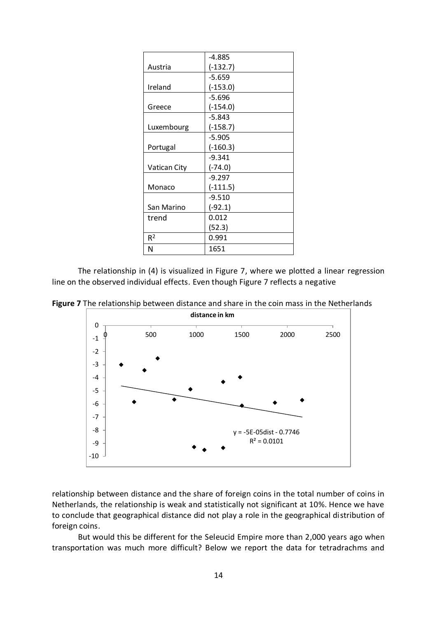|                | $-4.885$   |
|----------------|------------|
| Austria        | $(-132.7)$ |
|                | $-5.659$   |
| Ireland        | $(-153.0)$ |
|                | $-5.696$   |
| Greece         | $(-154.0)$ |
|                | $-5.843$   |
| Luxembourg     | $(-158.7)$ |
|                | $-5.905$   |
| Portugal       | $(-160.3)$ |
|                | $-9.341$   |
| Vatican City   | $(-74.0)$  |
|                | $-9.297$   |
| Monaco         | $(-111.5)$ |
|                | $-9.510$   |
| San Marino     | $(-92.1)$  |
| trend          | 0.012      |
|                | (52.3)     |
| R <sup>2</sup> | 0.991      |
| N              | 1651       |

The relationship in (4) is visualized in Figure 7, where we plotted a linear regression line on the observed individual effects. Even though Figure 7 reflects a negative

**Figure 7** The relationship between distance and share in the coin mass in the Netherlands



relationship between distance and the share of foreign coins in the total number of coins in Netherlands, the relationship is weak and statistically not significant at 10%. Hence we have to conclude that geographical distance did not play a role in the geographical distribution of foreign coins.

But would this be different for the Seleucid Empire more than 2,000 years ago when transportation was much more difficult? Below we report the data for tetradrachms and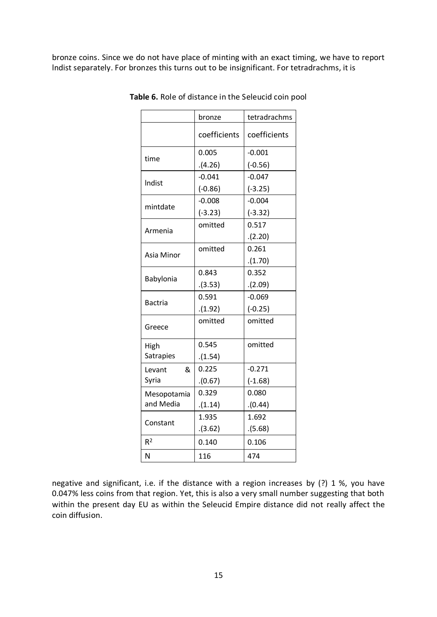bronze coins. Since we do not have place of minting with an exact timing, we have to report lndist separately. For bronzes this turns out to be insignificant. For tetradrachms, it is

|                  | bronze       | tetradrachms |
|------------------|--------------|--------------|
|                  | coefficients | coefficients |
|                  | 0.005        | $-0.001$     |
| time             | (4.26)       | $(-0.56)$    |
| Indist           | $-0.041$     | $-0.047$     |
|                  | $(-0.86)$    | $(-3.25)$    |
| mintdate         | $-0.008$     | $-0.004$     |
|                  | $(-3.23)$    | $(-3.32)$    |
| Armenia          | omitted      | 0.517        |
|                  |              | (2.20)       |
| Asia Minor       | omitted      | 0.261        |
|                  |              | (1.70)       |
| Babylonia        | 0.843        | 0.352        |
|                  | (3.53)       | (2.09)       |
| Bactria          | 0.591        | $-0.069$     |
|                  | (1.92)       | $(-0.25)$    |
| Greece           | omitted      | omitted      |
| High             | 0.545        | omitted      |
| <b>Satrapies</b> | (1.54)       |              |
| &<br>Levant      | 0.225        | $-0.271$     |
| Syria            | (0.67)       | $(-1.68)$    |
| Mesopotamia      | 0.329        | 0.080        |
| and Media        | (1.14)       | (0.44)       |
|                  | 1.935        | 1.692        |
| Constant         | (3.62)       | (5.68)       |
| R <sup>2</sup>   | 0.140        | 0.106        |
| N                | 116          | 474          |

**Table 6.** Role of distance in the Seleucid coin pool

negative and significant, i.e. if the distance with a region increases by (?) 1 %, you have 0.047% less coins from that region. Yet, this is also a very small number suggesting that both within the present day EU as within the Seleucid Empire distance did not really affect the coin diffusion.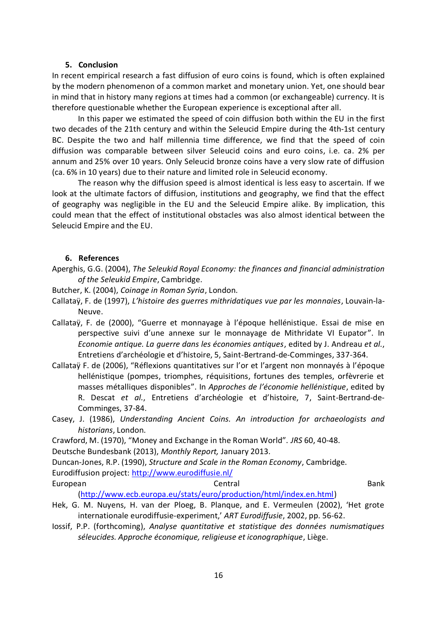### **5. Conclusion**

In recent empirical research a fast diffusion of euro coins is found, which is often explained by the modern phenomenon of a common market and monetary union. Yet, one should bear in mind that in history many regions at times had a common (or exchangeable) currency. It is therefore questionable whether the European experience is exceptional after all.

In this paper we estimated the speed of coin diffusion both within the EU in the first two decades of the 21th century and within the Seleucid Empire during the 4th-1st century BC. Despite the two and half millennia time difference, we find that the speed of coin diffusion was comparable between silver Seleucid coins and euro coins, i.e. ca. 2% per annum and 25% over 10 years. Only Seleucid bronze coins have a very slow rate of diffusion (ca. 6% in 10 years) due to their nature and limited role in Seleucid economy.

The reason why the diffusion speed is almost identical is less easy to ascertain. If we look at the ultimate factors of diffusion, institutions and geography, we find that the effect of geography was negligible in the EU and the Seleucid Empire alike. By implication, this could mean that the effect of institutional obstacles was also almost identical between the Seleucid Empire and the EU.

#### **6. References**

Aperghis, G.G. (2004), *The Seleukid Royal Economy: the finances and financial administration of the Seleukid Empire*, Cambridge.

Butcher, K. (2004), *Coinage in Roman Syria*, London.

- Callataÿ, F. de (1997), *L'histoire des guerres mithridatiques vue par les monnaies*, Louvain-la-Neuve.
- Callataÿ, F. de (2000), "Guerre et monnayage à l'époque hellénistique. Essai de mise en perspective suivi d'une annexe sur le monnayage de Mithridate VI Eupator". In *Economie antique. La guerre dans les économies antiques*, edited by J. Andreau *et al.*, Entretiens d'archéologie et d'histoire, 5, Saint-Bertrand-de-Comminges, 337-364.
- Callataÿ F. de (2006), "Réflexions quantitatives sur l'or et l'argent non monnayés à l'époque hellénistique (pompes, triomphes, réquisitions, fortunes des temples, orfèvrerie et masses métalliques disponibles". In *Approches de l'économie hellénistique*, edited by R. Descat *et al.*, Entretiens d'archéologie et d'histoire, 7, Saint-Bertrand-de-Comminges, 37-84.
- Casey, J. (1986), *Understanding Ancient Coins. An introduction for archaeologists and historians*, London.

Crawford, M. (1970), "Money and Exchange in the Roman World". *JRS* 60, 40-48.

Deutsche Bundesbank (2013), *Monthly Report,* January 2013.

Duncan-Jones, R.P. (1990), *Structure and Scale in the Roman Economy*, Cambridge.

Eurodiffusion project:<http://www.eurodiffusie.nl/>

European **European** Bank

[\(http://www.ecb.europa.eu/stats/euro/production/html/index.en.html\)](http://www.ecb.europa.eu/stats/euro/production/html/index.en.html)

- Hek, G. M. Nuyens, H. van der Ploeg, B. Planque, and E. Vermeulen (2002), 'Het grote internationale eurodiffusie-experiment,' *ART Eurodiffusie*, 2002, pp. 56-62.
- Iossif, P.P. (forthcoming), *Analyse quantitative et statistique des données numismatiques séleucides. Approche économique, religieuse et iconographique*, Liège.